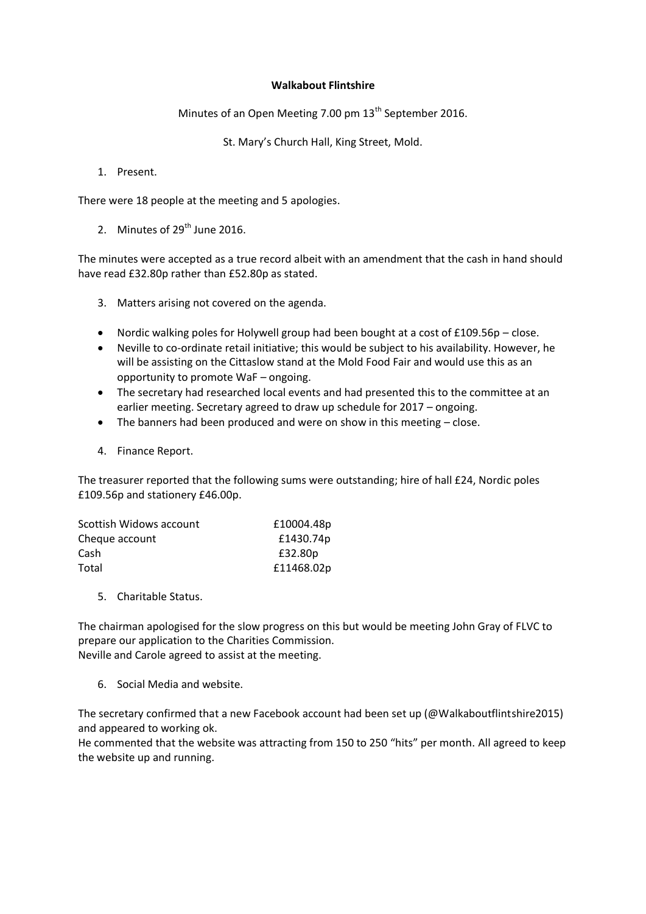## **Walkabout Flintshire**

Minutes of an Open Meeting 7.00 pm 13<sup>th</sup> September 2016.

St. Mary's Church Hall, King Street, Mold.

1. Present.

There were 18 people at the meeting and 5 apologies.

2. Minutes of  $29<sup>th</sup>$  June 2016.

The minutes were accepted as a true record albeit with an amendment that the cash in hand should have read £32.80p rather than £52.80p as stated.

- 3. Matters arising not covered on the agenda.
- Nordic walking poles for Holywell group had been bought at a cost of  $£109.56p close.$
- Neville to co-ordinate retail initiative; this would be subject to his availability. However, he will be assisting on the Cittaslow stand at the Mold Food Fair and would use this as an opportunity to promote WaF – ongoing.
- The secretary had researched local events and had presented this to the committee at an earlier meeting. Secretary agreed to draw up schedule for 2017 – ongoing.
- The banners had been produced and were on show in this meeting close.
- 4. Finance Report.

The treasurer reported that the following sums were outstanding; hire of hall £24, Nordic poles £109.56p and stationery £46.00p.

| Scottish Widows account | £10004.48p |
|-------------------------|------------|
| Cheque account          | £1430.74p  |
| Cash                    | £32.80p    |
| Total                   | £11468.02p |

5. Charitable Status.

The chairman apologised for the slow progress on this but would be meeting John Gray of FLVC to prepare our application to the Charities Commission. Neville and Carole agreed to assist at the meeting.

6. Social Media and website.

The secretary confirmed that a new Facebook account had been set up (@Walkaboutflintshire2015) and appeared to working ok.

He commented that the website was attracting from 150 to 250 "hits" per month. All agreed to keep the website up and running.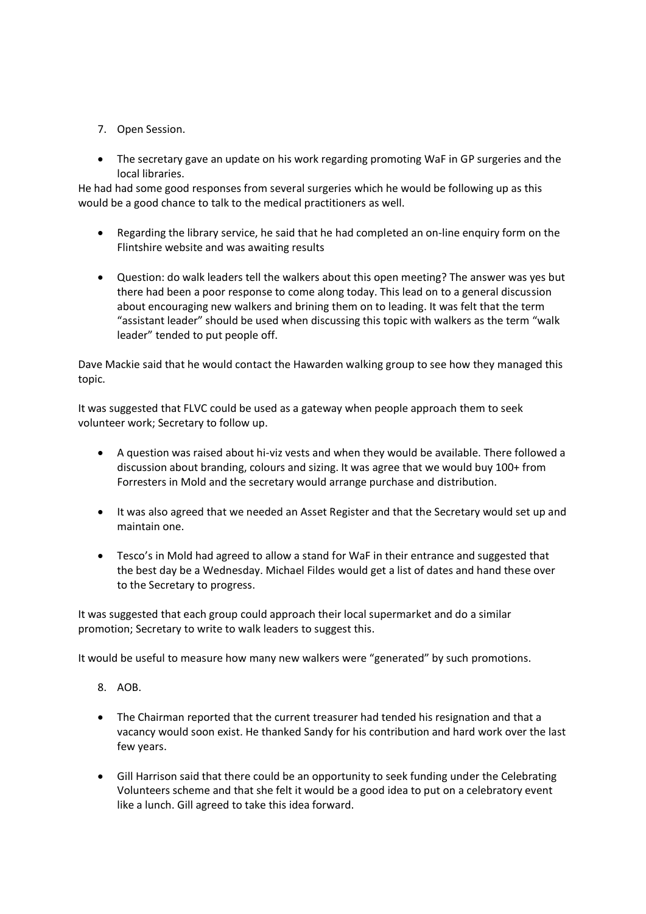- 7. Open Session.
- The secretary gave an update on his work regarding promoting WaF in GP surgeries and the local libraries.

He had had some good responses from several surgeries which he would be following up as this would be a good chance to talk to the medical practitioners as well.

- Regarding the library service, he said that he had completed an on-line enquiry form on the Flintshire website and was awaiting results
- Question: do walk leaders tell the walkers about this open meeting? The answer was yes but there had been a poor response to come along today. This lead on to a general discussion about encouraging new walkers and brining them on to leading. It was felt that the term "assistant leader" should be used when discussing this topic with walkers as the term "walk leader" tended to put people off.

Dave Mackie said that he would contact the Hawarden walking group to see how they managed this topic.

It was suggested that FLVC could be used as a gateway when people approach them to seek volunteer work; Secretary to follow up.

- A question was raised about hi-viz vests and when they would be available. There followed a discussion about branding, colours and sizing. It was agree that we would buy 100+ from Forresters in Mold and the secretary would arrange purchase and distribution.
- It was also agreed that we needed an Asset Register and that the Secretary would set up and maintain one.
- Tesco's in Mold had agreed to allow a stand for WaF in their entrance and suggested that the best day be a Wednesday. Michael Fildes would get a list of dates and hand these over to the Secretary to progress.

It was suggested that each group could approach their local supermarket and do a similar promotion; Secretary to write to walk leaders to suggest this.

It would be useful to measure how many new walkers were "generated" by such promotions.

- 8. AOB.
- The Chairman reported that the current treasurer had tended his resignation and that a vacancy would soon exist. He thanked Sandy for his contribution and hard work over the last few years.
- Gill Harrison said that there could be an opportunity to seek funding under the Celebrating Volunteers scheme and that she felt it would be a good idea to put on a celebratory event like a lunch. Gill agreed to take this idea forward.